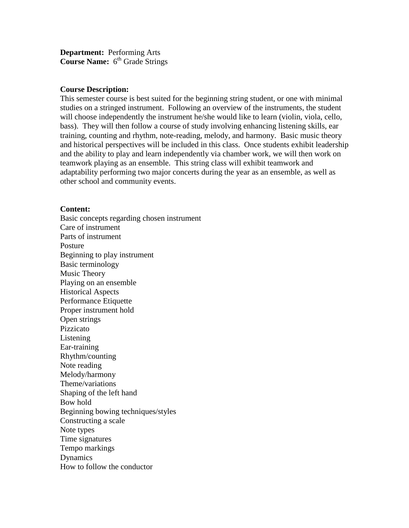**Department:** Performing Arts **Course Name:** 6<sup>th</sup> Grade Strings

#### **Course Description:**

This semester course is best suited for the beginning string student, or one with minimal studies on a stringed instrument. Following an overview of the instruments, the student will choose independently the instrument he/she would like to learn (violin, viola, cello, bass). They will then follow a course of study involving enhancing listening skills, ear training, counting and rhythm, note-reading, melody, and harmony. Basic music theory and historical perspectives will be included in this class. Once students exhibit leadership and the ability to play and learn independently via chamber work, we will then work on teamwork playing as an ensemble. This string class will exhibit teamwork and adaptability performing two major concerts during the year as an ensemble, as well as other school and community events.

#### **Content:**

Basic concepts regarding chosen instrument Care of instrument Parts of instrument Posture Beginning to play instrument Basic terminology Music Theory Playing on an ensemble Historical Aspects Performance Etiquette Proper instrument hold Open strings Pizzicato Listening Ear-training Rhythm/counting Note reading Melody/harmony Theme/variations Shaping of the left hand Bow hold Beginning bowing techniques/styles Constructing a scale Note types Time signatures Tempo markings **Dynamics** How to follow the conductor